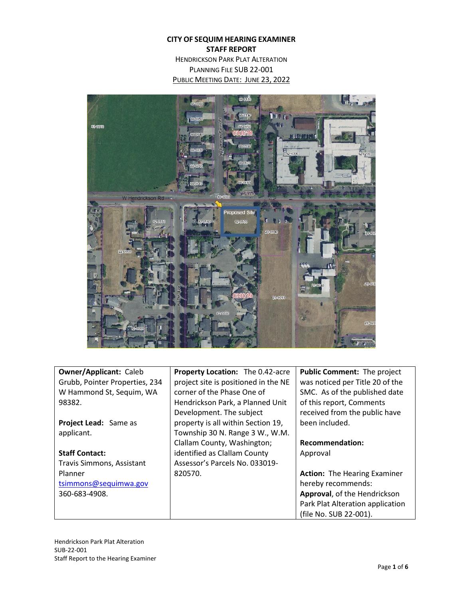# **CITY OF SEQUIM HEARING EXAMINER STAFF REPORT**

HENDRICKSON PARK PLAT ALTERATION PLANNING FILE SUB 22-001 PUBLIC MEETING DATE: JUNE 23, 2022



| <b>Owner/Applicant: Caleb</b>  | Property Location: The 0.42-acre     | <b>Public Comment: The project</b>  |
|--------------------------------|--------------------------------------|-------------------------------------|
| Grubb, Pointer Properties, 234 | project site is positioned in the NE | was noticed per Title 20 of the     |
| W Hammond St, Sequim, WA       | corner of the Phase One of           | SMC. As of the published date       |
| 98382.                         | Hendrickson Park, a Planned Unit     | of this report, Comments            |
|                                | Development. The subject             | received from the public have       |
| <b>Project Lead:</b> Same as   | property is all within Section 19,   | been included.                      |
| applicant.                     | Township 30 N. Range 3 W., W.M.      |                                     |
|                                | Clallam County, Washington;          | <b>Recommendation:</b>              |
| <b>Staff Contact:</b>          | identified as Clallam County         | Approval                            |
| Travis Simmons, Assistant      | Assessor's Parcels No. 033019-       |                                     |
| Planner                        | 820570.                              | <b>Action:</b> The Hearing Examiner |
| tsimmons@sequimwa.gov          |                                      | hereby recommends:                  |
| 360-683-4908.                  |                                      | Approval, of the Hendrickson        |
|                                |                                      | Park Plat Alteration application    |
|                                |                                      | (file No. SUB 22-001).              |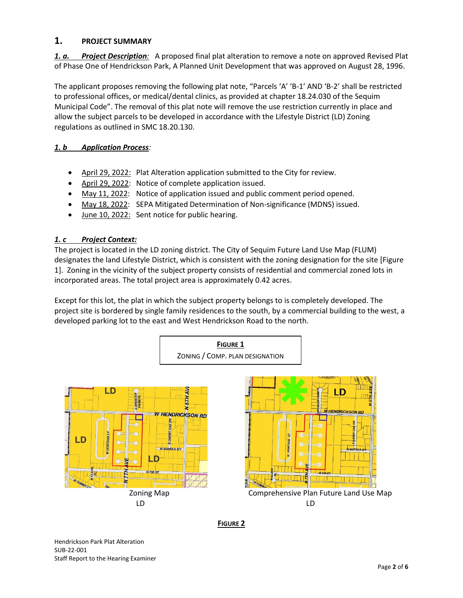## **1. PROJECT SUMMARY**

*1. a. Project Description:* A proposed final plat alteration to remove a note on approved Revised Plat of Phase One of Hendrickson Park, A Planned Unit Development that was approved on August 28, 1996.

The applicant proposes removing the following plat note, "Parcels 'A' 'B-1' AND 'B-2' shall be restricted to professional offices, or medical/dental clinics, as provided at chapter 18.24.030 of the Sequim Municipal Code". The removal of this plat note will remove the use restriction currently in place and allow the subject parcels to be developed in accordance with the Lifestyle District (LD) Zoning regulations as outlined in SMC 18.20.130.

## *1. b Application Process:*

- April 29, 2022: Plat Alteration application submitted to the City for review.
- April 29, 2022: Notice of complete application issued.
- May 11, 2022: Notice of application issued and public comment period opened.
- May 18, 2022: SEPA Mitigated Determination of Non-significance (MDNS) issued.
- June 10, 2022: Sent notice for public hearing.

#### *1. c Project Context:*

The project is located in the LD zoning district. The City of Sequim Future Land Use Map (FLUM) designates the land Lifestyle District, which is consistent with the zoning designation for the site [Figure 1]. Zoning in the vicinity of the subject property consists of residential and commercial zoned lots in incorporated areas. The total project area is approximately 0.42 acres.

Except for this lot, the plat in which the subject property belongs to is completely developed. The project site is bordered by single family residences to the south, by a commercial building to the west, a developed parking lot to the east and West Hendrickson Road to the north.



**FIGURE 2**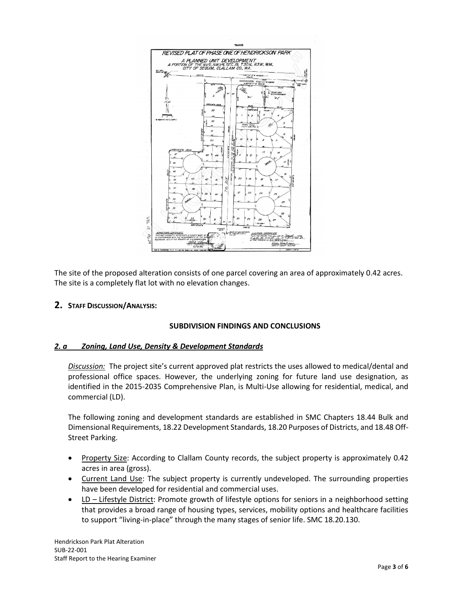

The site of the proposed alteration consists of one parcel covering an area of approximately 0.42 acres. The site is a completely flat lot with no elevation changes.

**2. STAFF DISCUSSION/ANALYSIS:**

#### **SUBDIVISION FINDINGS AND CONCLUSIONS**

#### *2. a Zoning, Land Use, Density & Development Standards*

*Discussion:* The project site's current approved plat restricts the uses allowed to medical/dental and professional office spaces. However, the underlying zoning for future land use designation, as identified in the 2015-2035 Comprehensive Plan, is Multi-Use allowing for residential, medical, and commercial (LD).

The following zoning and development standards are established in SMC Chapters 18.44 Bulk and Dimensional Requirements, 18.22 Development Standards, 18.20 Purposes of Districts, and 18.48 Off-Street Parking.

- Property Size: According to Clallam County records, the subject property is approximately 0.42 acres in area (gross).
- Current Land Use: The subject property is currently undeveloped. The surrounding properties have been developed for residential and commercial uses.
- LD Lifestyle District: Promote growth of lifestyle options for seniors in a neighborhood setting that provides a broad range of housing types, services, mobility options and healthcare facilities to support "living-in-place" through the many stages of senior life. SMC 18.20.130.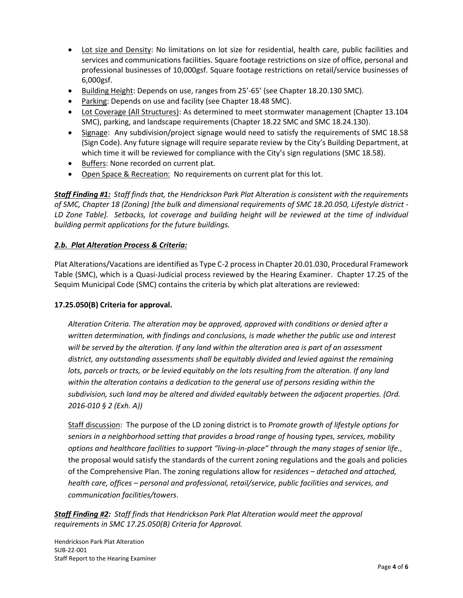- Lot size and Density: No limitations on lot size for residential, health care, public facilities and services and communications facilities. Square footage restrictions on size of office, personal and professional businesses of 10,000gsf. Square footage restrictions on retail/service businesses of 6,000gsf.
- Building Height: Depends on use, ranges from 25'-65' (see Chapter 18.20.130 SMC).
- Parking: Depends on use and facility (see Chapter 18.48 SMC).
- Lot Coverage (All Structures): As determined to meet stormwater management (Chapter 13.104 SMC), parking, and landscape requirements (Chapter 18.22 SMC and SMC 18.24.130).
- Signage: Any subdivision/project signage would need to satisfy the requirements of SMC 18.58 (Sign Code). Any future signage will require separate review by the City's Building Department, at which time it will be reviewed for compliance with the City's sign regulations (SMC 18.58).
- Buffers: None recorded on current plat.
- Open Space & Recreation: No requirements on current plat for this lot.

*Staff Finding #1: Staff finds that, the Hendrickson Park Plat Alteration is consistent with the requirements of SMC, Chapter 18 (Zoning) [the bulk and dimensional requirements of SMC 18.20.050, Lifestyle district - LD Zone Table]. Setbacks, lot coverage and building height will be reviewed at the time of individual building permit applications for the future buildings.*

#### *2.b. Plat Alteration Process & Criteria:*

Plat Alterations/Vacations are identified as Type C-2 process in Chapter 20.01.030, Procedural Framework Table (SMC), which is a Quasi-Judicial process reviewed by the Hearing Examiner. Chapter 17.25 of the Sequim Municipal Code (SMC) contains the criteria by which plat alterations are reviewed:

#### **17.25.050(B) Criteria for approval.**

*Alteration Criteria. The alteration may be approved, approved with conditions or denied after a written determination, with findings and conclusions, is made whether the public use and interest will be served by the alteration. If any land within the alteration area is part of an assessment district, any outstanding assessments shall be equitably divided and levied against the remaining*  lots, parcels or tracts, or be levied equitably on the lots resulting from the alteration. If any land *within the alteration contains a dedication to the general use of persons residing within the subdivision, such land may be altered and divided equitably between the adjacent properties. (Ord. 2016-010 § 2 (Exh. A))*

Staff discussion: The purpose of the LD zoning district is to *Promote growth of lifestyle options for seniors in a neighborhood setting that provides a broad range of housing types, services, mobility options and healthcare facilities to support "living-in-place" through the many stages of senior life.*, the proposal would satisfy the standards of the current zoning regulations and the goals and policies of the Comprehensive Plan. The zoning regulations allow for *residences – detached and attached, health care, offices – personal and professional, retail/service, public facilities and services, and communication facilities/towers*.

*Staff Finding #2: Staff finds that Hendrickson Park Plat Alteration would meet the approval requirements in SMC 17.25.050(B) Criteria for Approval.*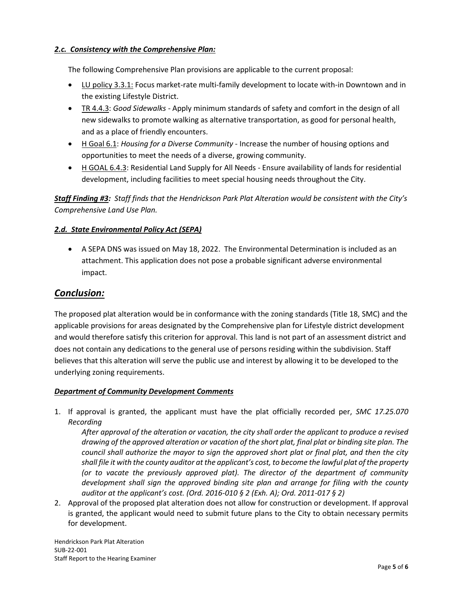## *2.c. Consistency with the Comprehensive Plan:*

The following Comprehensive Plan provisions are applicable to the current proposal:

- LU policy 3.3.1: Focus market-rate multi-family development to locate with-in Downtown and in the existing Lifestyle District.
- TR 4.4.3: *Good Sidewalks* Apply minimum standards of safety and comfort in the design of all new sidewalks to promote walking as alternative transportation, as good for personal health, and as a place of friendly encounters.
- H Goal 6.1: *Housing for a Diverse Community*  Increase the number of housing options and opportunities to meet the needs of a diverse, growing community.
- H GOAL 6.4.3: Residential Land Supply for All Needs Ensure availability of lands for residential development, including facilities to meet special housing needs throughout the City.

*Staff Finding #3: Staff finds that the Hendrickson Park Plat Alteration would be consistent with the City's Comprehensive Land Use Plan.*

## *2.d. State Environmental Policy Act (SEPA)*

• A SEPA DNS was issued on May 18, 2022. The Environmental Determination is included as an attachment. This application does not pose a probable significant adverse environmental impact.

## *Conclusion:*

The proposed plat alteration would be in conformance with the zoning standards (Title 18, SMC) and the applicable provisions for areas designated by the Comprehensive plan for Lifestyle district development and would therefore satisfy this criterion for approval. This land is not part of an assessment district and does not contain any dedications to the general use of persons residing within the subdivision. Staff believes that this alteration will serve the public use and interest by allowing it to be developed to the underlying zoning requirements.

#### *Department of Community Development Comments*

1. If approval is granted, the applicant must have the plat officially recorded per, *SMC 17.25.070 Recording*

*After approval of the alteration or vacation, the city shall order the applicant to produce a revised drawing of the approved alteration or vacation of the short plat, final plat or binding site plan. The council shall authorize the mayor to sign the approved short plat or final plat, and then the city shall file it with the county auditor at the applicant's cost, to become the lawful plat of the property (or to vacate the previously approved plat). The director of the department of community*  development shall sign the approved binding site plan and arrange for filing with the county *auditor at the applicant's cost. (Ord. 2016-010 § 2 (Exh. A); Ord. 2011-017 § 2)*

2. Approval of the proposed plat alteration does not allow for construction or development. If approval is granted, the applicant would need to submit future plans to the City to obtain necessary permits for development.